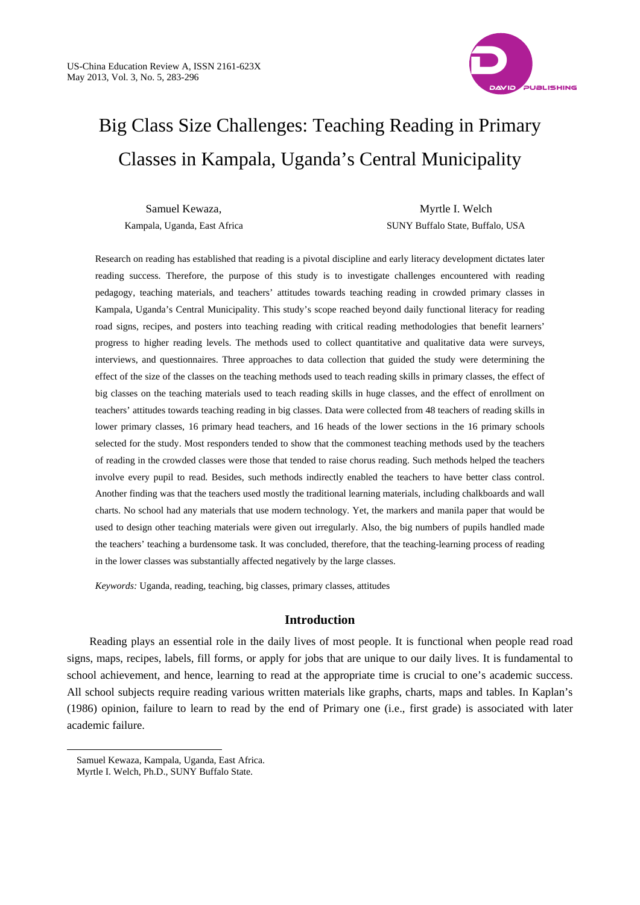

# Big Class Size Challenges: Teaching Reading in Primary Classes in Kampala, Uganda's Central Municipality

Samuel Kewaza, Kampala, Uganda, East Africa

Myrtle I. Welch SUNY Buffalo State, Buffalo, USA

Research on reading has established that reading is a pivotal discipline and early literacy development dictates later reading success. Therefore, the purpose of this study is to investigate challenges encountered with reading pedagogy, teaching materials, and teachers' attitudes towards teaching reading in crowded primary classes in Kampala, Uganda's Central Municipality. This study's scope reached beyond daily functional literacy for reading road signs, recipes, and posters into teaching reading with critical reading methodologies that benefit learners' progress to higher reading levels. The methods used to collect quantitative and qualitative data were surveys, interviews, and questionnaires. Three approaches to data collection that guided the study were determining the effect of the size of the classes on the teaching methods used to teach reading skills in primary classes, the effect of big classes on the teaching materials used to teach reading skills in huge classes, and the effect of enrollment on teachers' attitudes towards teaching reading in big classes. Data were collected from 48 teachers of reading skills in lower primary classes, 16 primary head teachers, and 16 heads of the lower sections in the 16 primary schools selected for the study. Most responders tended to show that the commonest teaching methods used by the teachers of reading in the crowded classes were those that tended to raise chorus reading. Such methods helped the teachers involve every pupil to read. Besides, such methods indirectly enabled the teachers to have better class control. Another finding was that the teachers used mostly the traditional learning materials, including chalkboards and wall charts. No school had any materials that use modern technology*.* Yet, the markers and manila paper that would be used to design other teaching materials were given out irregularly. Also, the big numbers of pupils handled made the teachers' teaching a burdensome task. It was concluded, therefore, that the teaching-learning process of reading in the lower classes was substantially affected negatively by the large classes.

*Keywords:* Uganda, reading, teaching, big classes, primary classes, attitudes

# **Introduction**

Reading plays an essential role in the daily lives of most people. It is functional when people read road signs, maps, recipes, labels, fill forms, or apply for jobs that are unique to our daily lives. It is fundamental to school achievement, and hence, learning to read at the appropriate time is crucial to one's academic success. All school subjects require reading various written materials like graphs, charts, maps and tables. In Kaplan's (1986) opinion, failure to learn to read by the end of Primary one (i.e., first grade) is associated with later academic failure.

 $\overline{a}$ 

Samuel Kewaza, Kampala, Uganda, East Africa.

Myrtle I. Welch, Ph.D., SUNY Buffalo State.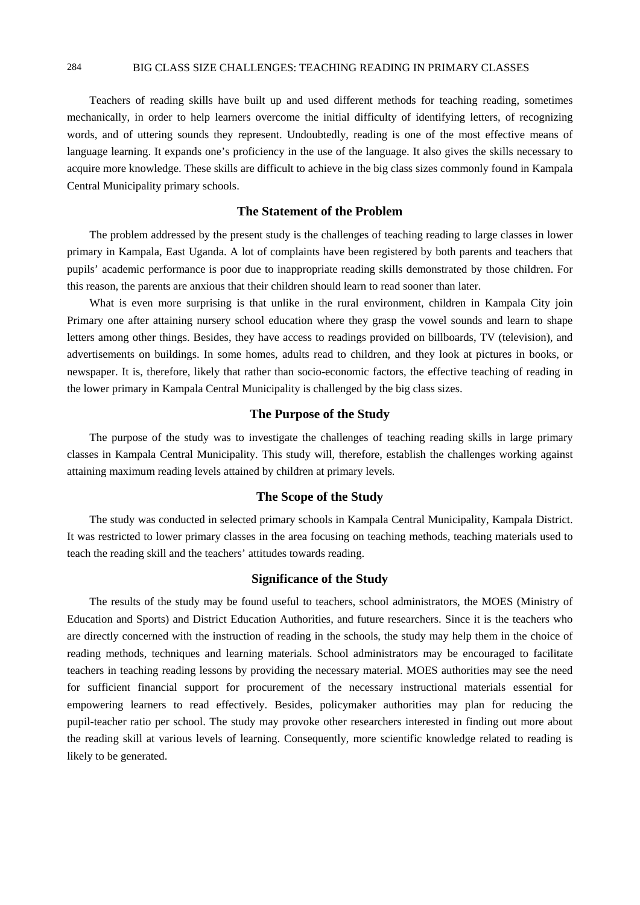Teachers of reading skills have built up and used different methods for teaching reading, sometimes mechanically, in order to help learners overcome the initial difficulty of identifying letters, of recognizing words, and of uttering sounds they represent. Undoubtedly, reading is one of the most effective means of language learning. It expands one's proficiency in the use of the language. It also gives the skills necessary to acquire more knowledge. These skills are difficult to achieve in the big class sizes commonly found in Kampala Central Municipality primary schools.

# **The Statement of the Problem**

The problem addressed by the present study is the challenges of teaching reading to large classes in lower primary in Kampala, East Uganda. A lot of complaints have been registered by both parents and teachers that pupils' academic performance is poor due to inappropriate reading skills demonstrated by those children. For this reason, the parents are anxious that their children should learn to read sooner than later.

What is even more surprising is that unlike in the rural environment, children in Kampala City join Primary one after attaining nursery school education where they grasp the vowel sounds and learn to shape letters among other things. Besides, they have access to readings provided on billboards, TV (television), and advertisements on buildings. In some homes, adults read to children, and they look at pictures in books, or newspaper. It is, therefore, likely that rather than socio-economic factors, the effective teaching of reading in the lower primary in Kampala Central Municipality is challenged by the big class sizes.

# **The Purpose of the Study**

The purpose of the study was to investigate the challenges of teaching reading skills in large primary classes in Kampala Central Municipality. This study will, therefore, establish the challenges working against attaining maximum reading levels attained by children at primary levels.

# **The Scope of the Study**

The study was conducted in selected primary schools in Kampala Central Municipality, Kampala District. It was restricted to lower primary classes in the area focusing on teaching methods, teaching materials used to teach the reading skill and the teachers' attitudes towards reading.

# **Significance of the Study**

The results of the study may be found useful to teachers, school administrators, the MOES (Ministry of Education and Sports) and District Education Authorities, and future researchers. Since it is the teachers who are directly concerned with the instruction of reading in the schools, the study may help them in the choice of reading methods, techniques and learning materials. School administrators may be encouraged to facilitate teachers in teaching reading lessons by providing the necessary material. MOES authorities may see the need for sufficient financial support for procurement of the necessary instructional materials essential for empowering learners to read effectively. Besides, policymaker authorities may plan for reducing the pupil-teacher ratio per school. The study may provoke other researchers interested in finding out more about the reading skill at various levels of learning. Consequently, more scientific knowledge related to reading is likely to be generated.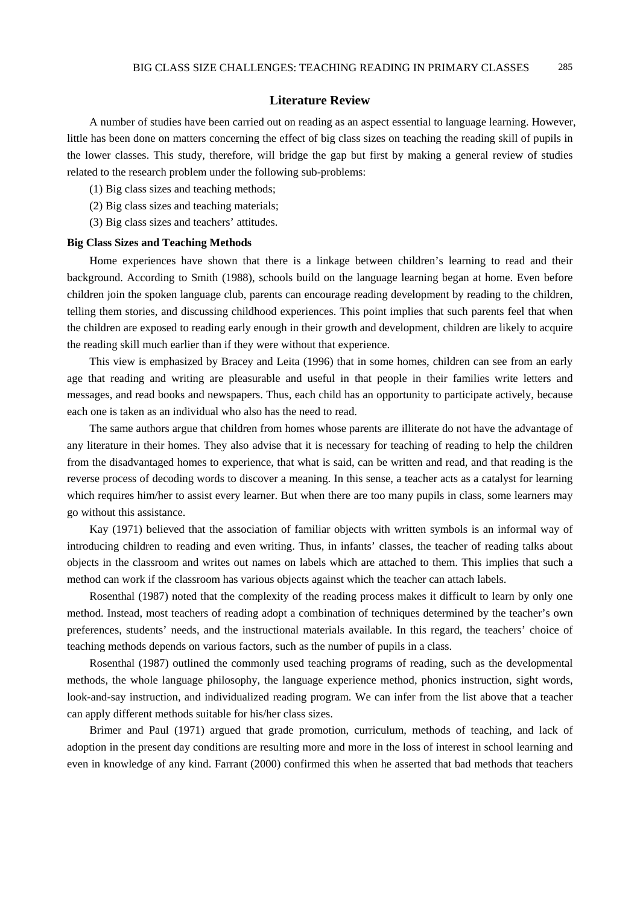#### **Literature Review**

A number of studies have been carried out on reading as an aspect essential to language learning. However, little has been done on matters concerning the effect of big class sizes on teaching the reading skill of pupils in the lower classes. This study, therefore, will bridge the gap but first by making a general review of studies related to the research problem under the following sub-problems:

(1) Big class sizes and teaching methods;

- (2) Big class sizes and teaching materials;
- (3) Big class sizes and teachers' attitudes.

#### **Big Class Sizes and Teaching Methods**

Home experiences have shown that there is a linkage between children's learning to read and their background. According to Smith (1988), schools build on the language learning began at home. Even before children join the spoken language club, parents can encourage reading development by reading to the children, telling them stories, and discussing childhood experiences. This point implies that such parents feel that when the children are exposed to reading early enough in their growth and development, children are likely to acquire the reading skill much earlier than if they were without that experience.

This view is emphasized by Bracey and Leita (1996) that in some homes, children can see from an early age that reading and writing are pleasurable and useful in that people in their families write letters and messages, and read books and newspapers. Thus, each child has an opportunity to participate actively, because each one is taken as an individual who also has the need to read.

The same authors argue that children from homes whose parents are illiterate do not have the advantage of any literature in their homes. They also advise that it is necessary for teaching of reading to help the children from the disadvantaged homes to experience, that what is said, can be written and read, and that reading is the reverse process of decoding words to discover a meaning. In this sense, a teacher acts as a catalyst for learning which requires him/her to assist every learner. But when there are too many pupils in class, some learners may go without this assistance.

Kay (1971) believed that the association of familiar objects with written symbols is an informal way of introducing children to reading and even writing. Thus, in infants' classes, the teacher of reading talks about objects in the classroom and writes out names on labels which are attached to them. This implies that such a method can work if the classroom has various objects against which the teacher can attach labels.

Rosenthal (1987) noted that the complexity of the reading process makes it difficult to learn by only one method. Instead, most teachers of reading adopt a combination of techniques determined by the teacher's own preferences, students' needs, and the instructional materials available. In this regard, the teachers' choice of teaching methods depends on various factors, such as the number of pupils in a class.

Rosenthal (1987) outlined the commonly used teaching programs of reading, such as the developmental methods, the whole language philosophy, the language experience method, phonics instruction, sight words, look-and-say instruction, and individualized reading program. We can infer from the list above that a teacher can apply different methods suitable for his/her class sizes.

Brimer and Paul (1971) argued that grade promotion, curriculum, methods of teaching, and lack of adoption in the present day conditions are resulting more and more in the loss of interest in school learning and even in knowledge of any kind. Farrant (2000) confirmed this when he asserted that bad methods that teachers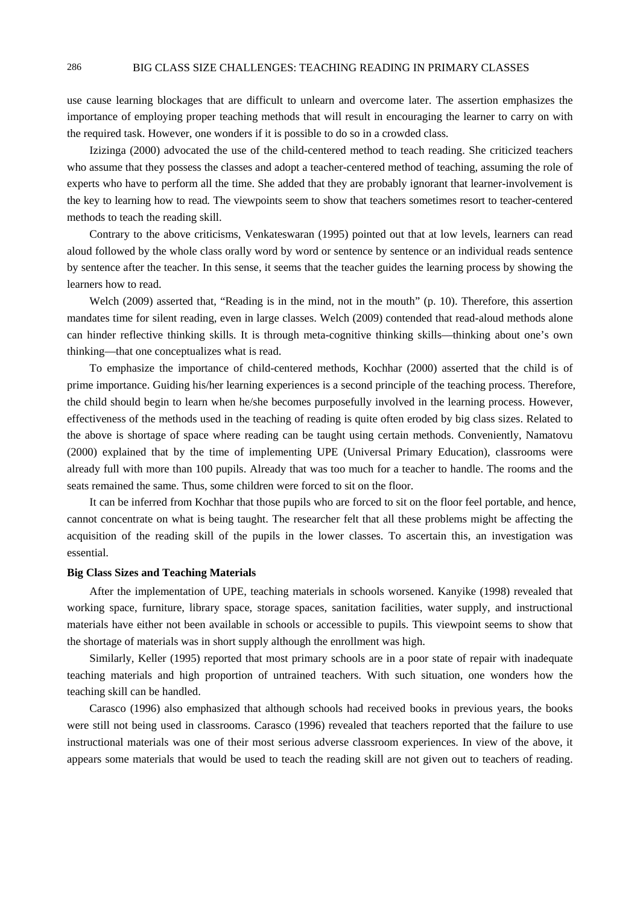use cause learning blockages that are difficult to unlearn and overcome later. The assertion emphasizes the importance of employing proper teaching methods that will result in encouraging the learner to carry on with the required task. However, one wonders if it is possible to do so in a crowded class.

Izizinga (2000) advocated the use of the child-centered method to teach reading. She criticized teachers who assume that they possess the classes and adopt a teacher-centered method of teaching, assuming the role of experts who have to perform all the time. She added that they are probably ignorant that learner-involvement is the key to learning how to read*.* The viewpoints seem to show that teachers sometimes resort to teacher-centered methods to teach the reading skill.

Contrary to the above criticisms, Venkateswaran (1995) pointed out that at low levels, learners can read aloud followed by the whole class orally word by word or sentence by sentence or an individual reads sentence by sentence after the teacher. In this sense, it seems that the teacher guides the learning process by showing the learners how to read.

Welch (2009) asserted that, "Reading is in the mind, not in the mouth" (p. 10). Therefore, this assertion mandates time for silent reading, even in large classes. Welch (2009) contended that read-aloud methods alone can hinder reflective thinking skills. It is through meta-cognitive thinking skills—thinking about one's own thinking—that one conceptualizes what is read.

To emphasize the importance of child-centered methods, Kochhar (2000) asserted that the child is of prime importance. Guiding his/her learning experiences is a second principle of the teaching process. Therefore, the child should begin to learn when he/she becomes purposefully involved in the learning process. However, effectiveness of the methods used in the teaching of reading is quite often eroded by big class sizes. Related to the above is shortage of space where reading can be taught using certain methods. Conveniently, Namatovu (2000) explained that by the time of implementing UPE (Universal Primary Education), classrooms were already full with more than 100 pupils. Already that was too much for a teacher to handle. The rooms and the seats remained the same. Thus, some children were forced to sit on the floor.

It can be inferred from Kochhar that those pupils who are forced to sit on the floor feel portable, and hence, cannot concentrate on what is being taught. The researcher felt that all these problems might be affecting the acquisition of the reading skill of the pupils in the lower classes. To ascertain this, an investigation was essential.

# **Big Class Sizes and Teaching Materials**

After the implementation of UPE, teaching materials in schools worsened. Kanyike (1998) revealed that working space, furniture, library space, storage spaces, sanitation facilities, water supply, and instructional materials have either not been available in schools or accessible to pupils. This viewpoint seems to show that the shortage of materials was in short supply although the enrollment was high.

Similarly, Keller (1995) reported that most primary schools are in a poor state of repair with inadequate teaching materials and high proportion of untrained teachers. With such situation, one wonders how the teaching skill can be handled.

Carasco (1996) also emphasized that although schools had received books in previous years, the books were still not being used in classrooms. Carasco (1996) revealed that teachers reported that the failure to use instructional materials was one of their most serious adverse classroom experiences. In view of the above, it appears some materials that would be used to teach the reading skill are not given out to teachers of reading.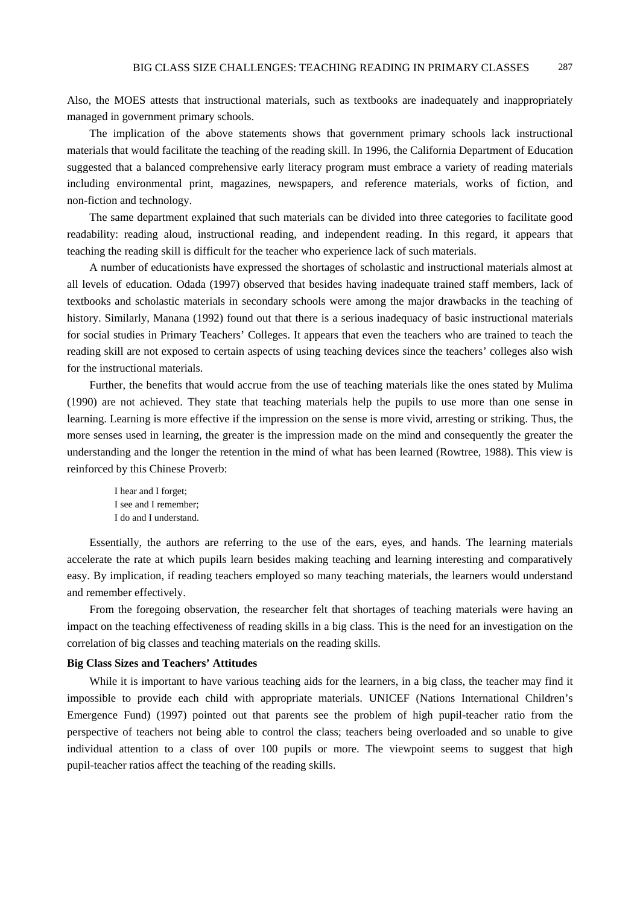Also, the MOES attests that instructional materials, such as textbooks are inadequately and inappropriately managed in government primary schools.

The implication of the above statements shows that government primary schools lack instructional materials that would facilitate the teaching of the reading skill. In 1996, the California Department of Education suggested that a balanced comprehensive early literacy program must embrace a variety of reading materials including environmental print, magazines, newspapers, and reference materials, works of fiction, and non-fiction and technology.

The same department explained that such materials can be divided into three categories to facilitate good readability: reading aloud, instructional reading, and independent reading. In this regard, it appears that teaching the reading skill is difficult for the teacher who experience lack of such materials.

A number of educationists have expressed the shortages of scholastic and instructional materials almost at all levels of education. Odada (1997) observed that besides having inadequate trained staff members, lack of textbooks and scholastic materials in secondary schools were among the major drawbacks in the teaching of history. Similarly, Manana (1992) found out that there is a serious inadequacy of basic instructional materials for social studies in Primary Teachers' Colleges. It appears that even the teachers who are trained to teach the reading skill are not exposed to certain aspects of using teaching devices since the teachers' colleges also wish for the instructional materials.

Further, the benefits that would accrue from the use of teaching materials like the ones stated by Mulima (1990) are not achieved. They state that teaching materials help the pupils to use more than one sense in learning. Learning is more effective if the impression on the sense is more vivid, arresting or striking. Thus, the more senses used in learning, the greater is the impression made on the mind and consequently the greater the understanding and the longer the retention in the mind of what has been learned (Rowtree, 1988). This view is reinforced by this Chinese Proverb:

I hear and I forget; I see and I remember; I do and I understand.

Essentially, the authors are referring to the use of the ears, eyes, and hands. The learning materials accelerate the rate at which pupils learn besides making teaching and learning interesting and comparatively easy. By implication, if reading teachers employed so many teaching materials, the learners would understand and remember effectively.

From the foregoing observation, the researcher felt that shortages of teaching materials were having an impact on the teaching effectiveness of reading skills in a big class. This is the need for an investigation on the correlation of big classes and teaching materials on the reading skills.

# **Big Class Sizes and Teachers' Attitudes**

While it is important to have various teaching aids for the learners, in a big class, the teacher may find it impossible to provide each child with appropriate materials. UNICEF (Nations International Children's Emergence Fund) (1997) pointed out that parents see the problem of high pupil-teacher ratio from the perspective of teachers not being able to control the class; teachers being overloaded and so unable to give individual attention to a class of over 100 pupils or more. The viewpoint seems to suggest that high pupil-teacher ratios affect the teaching of the reading skills.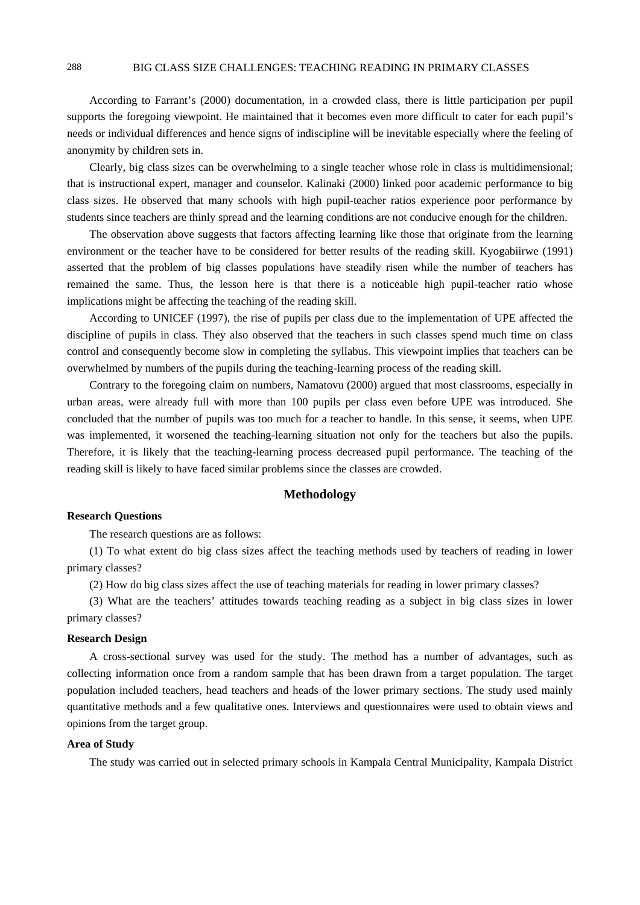# 288 BIG CLASS SIZE CHALLENGES: TEACHING READING IN PRIMARY CLASSES

According to Farrant's (2000) documentation, in a crowded class, there is little participation per pupil supports the foregoing viewpoint. He maintained that it becomes even more difficult to cater for each pupil's needs or individual differences and hence signs of indiscipline will be inevitable especially where the feeling of anonymity by children sets in.

Clearly, big class sizes can be overwhelming to a single teacher whose role in class is multidimensional; that is instructional expert, manager and counselor. Kalinaki (2000) linked poor academic performance to big class sizes. He observed that many schools with high pupil-teacher ratios experience poor performance by students since teachers are thinly spread and the learning conditions are not conducive enough for the children.

The observation above suggests that factors affecting learning like those that originate from the learning environment or the teacher have to be considered for better results of the reading skill. Kyogabiirwe (1991) asserted that the problem of big classes populations have steadily risen while the number of teachers has remained the same. Thus, the lesson here is that there is a noticeable high pupil-teacher ratio whose implications might be affecting the teaching of the reading skill.

According to UNICEF (1997), the rise of pupils per class due to the implementation of UPE affected the discipline of pupils in class. They also observed that the teachers in such classes spend much time on class control and consequently become slow in completing the syllabus. This viewpoint implies that teachers can be overwhelmed by numbers of the pupils during the teaching-learning process of the reading skill.

Contrary to the foregoing claim on numbers, Namatovu (2000) argued that most classrooms, especially in urban areas, were already full with more than 100 pupils per class even before UPE was introduced. She concluded that the number of pupils was too much for a teacher to handle. In this sense, it seems, when UPE was implemented, it worsened the teaching-learning situation not only for the teachers but also the pupils. Therefore, it is likely that the teaching-learning process decreased pupil performance. The teaching of the reading skill is likely to have faced similar problems since the classes are crowded.

# **Methodology**

# **Research Questions**

The research questions are as follows:

(1) To what extent do big class sizes affect the teaching methods used by teachers of reading in lower primary classes?

(2) How do big class sizes affect the use of teaching materials for reading in lower primary classes?

(3) What are the teachers' attitudes towards teaching reading as a subject in big class sizes in lower primary classes?

#### **Research Design**

A cross-sectional survey was used for the study. The method has a number of advantages, such as collecting information once from a random sample that has been drawn from a target population. The target population included teachers, head teachers and heads of the lower primary sections. The study used mainly quantitative methods and a few qualitative ones. Interviews and questionnaires were used to obtain views and opinions from the target group.

#### **Area of Study**

The study was carried out in selected primary schools in Kampala Central Municipality, Kampala District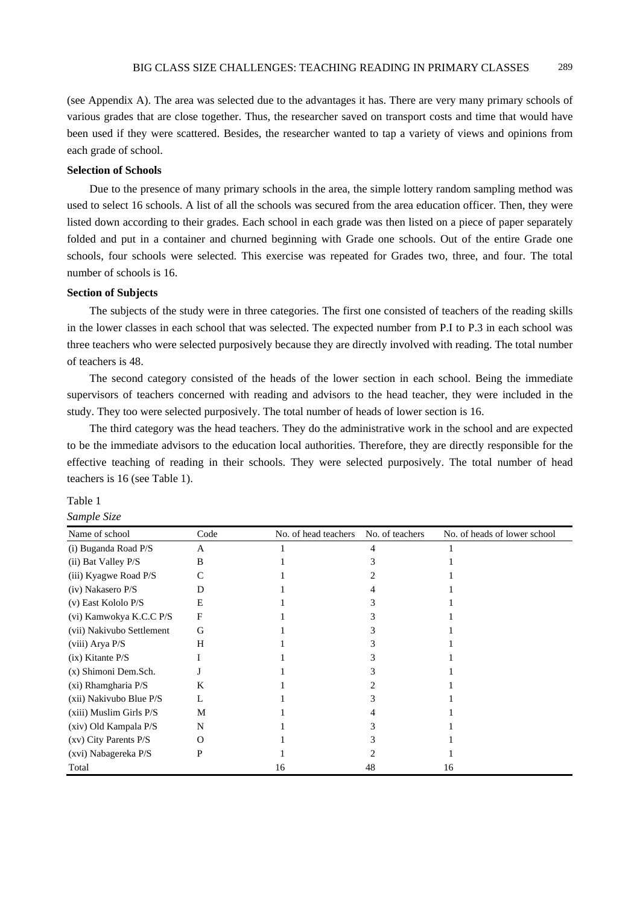(see Appendix A). The area was selected due to the advantages it has. There are very many primary schools of various grades that are close together. Thus, the researcher saved on transport costs and time that would have been used if they were scattered. Besides, the researcher wanted to tap a variety of views and opinions from each grade of school.

# **Selection of Schools**

Due to the presence of many primary schools in the area, the simple lottery random sampling method was used to select 16 schools. A list of all the schools was secured from the area education officer. Then, they were listed down according to their grades. Each school in each grade was then listed on a piece of paper separately folded and put in a container and churned beginning with Grade one schools. Out of the entire Grade one schools, four schools were selected. This exercise was repeated for Grades two, three, and four. The total number of schools is 16.

# **Section of Subjects**

The subjects of the study were in three categories. The first one consisted of teachers of the reading skills in the lower classes in each school that was selected. The expected number from P.I to P.3 in each school was three teachers who were selected purposively because they are directly involved with reading. The total number of teachers is 48.

The second category consisted of the heads of the lower section in each school. Being the immediate supervisors of teachers concerned with reading and advisors to the head teacher, they were included in the study. They too were selected purposively. The total number of heads of lower section is 16.

The third category was the head teachers. They do the administrative work in the school and are expected to be the immediate advisors to the education local authorities. Therefore, they are directly responsible for the effective teaching of reading in their schools. They were selected purposively. The total number of head teachers is 16 (see Table 1).

# Table 1

#### *Sample Size*

| Name of school            | Code     | No. of head teachers | No. of teachers | No. of heads of lower school |
|---------------------------|----------|----------------------|-----------------|------------------------------|
| (i) Buganda Road P/S      | A        |                      |                 |                              |
| (ii) Bat Valley P/S       | B        |                      |                 |                              |
| (iii) Kyagwe Road P/S     |          |                      |                 |                              |
| (iv) Nakasero P/S         | Ð        |                      |                 |                              |
| $(v)$ East Kololo P/S     | E        |                      |                 |                              |
| (vi) Kamwokya K.C.C P/S   | F        |                      |                 |                              |
| (vii) Nakivubo Settlement | G        |                      |                 |                              |
| (viii) Arya P/S           | Н        |                      |                 |                              |
| $(ix)$ Kitante $P/S$      |          |                      |                 |                              |
| (x) Shimoni Dem.Sch.      |          |                      |                 |                              |
| $(xi)$ Rhamgharia P/S     | K        |                      |                 |                              |
| (xii) Nakivubo Blue P/S   |          |                      |                 |                              |
| (xiii) Muslim Girls P/S   | M        |                      |                 |                              |
| (xiv) Old Kampala P/S     | N        |                      |                 |                              |
| $(xv)$ City Parents $P/S$ | $\Omega$ |                      |                 |                              |
| (xvi) Nabagereka P/S      | P        |                      |                 |                              |
| Total                     |          | 16                   | 48              | 16                           |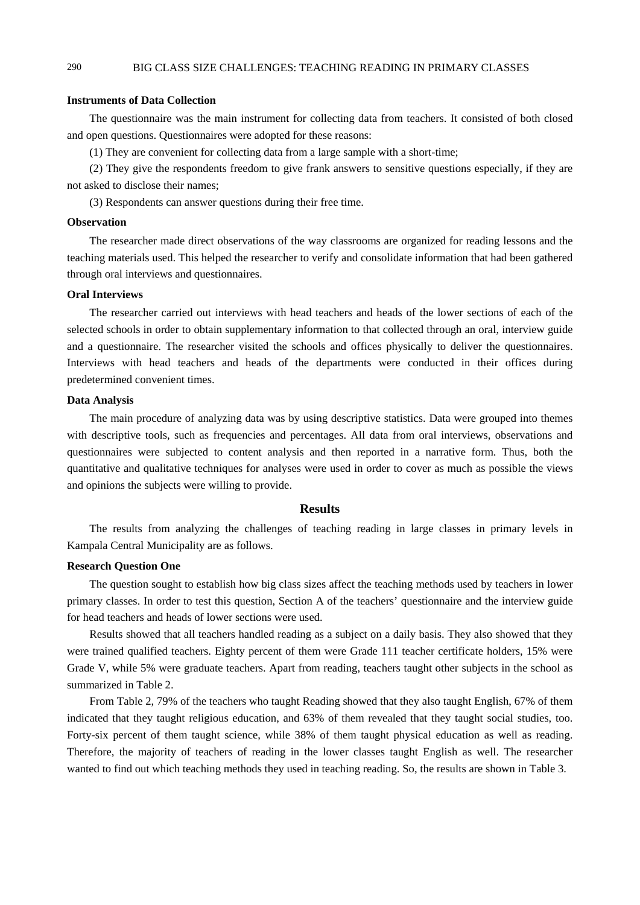# **Instruments of Data Collection**

The questionnaire was the main instrument for collecting data from teachers. It consisted of both closed and open questions. Questionnaires were adopted for these reasons:

(1) They are convenient for collecting data from a large sample with a short-time;

(2) They give the respondents freedom to give frank answers to sensitive questions especially, if they are not asked to disclose their names;

(3) Respondents can answer questions during their free time.

#### **Observation**

The researcher made direct observations of the way classrooms are organized for reading lessons and the teaching materials used. This helped the researcher to verify and consolidate information that had been gathered through oral interviews and questionnaires.

# **Oral Interviews**

The researcher carried out interviews with head teachers and heads of the lower sections of each of the selected schools in order to obtain supplementary information to that collected through an oral, interview guide and a questionnaire. The researcher visited the schools and offices physically to deliver the questionnaires. Interviews with head teachers and heads of the departments were conducted in their offices during predetermined convenient times.

#### **Data Analysis**

The main procedure of analyzing data was by using descriptive statistics. Data were grouped into themes with descriptive tools, such as frequencies and percentages. All data from oral interviews, observations and questionnaires were subjected to content analysis and then reported in a narrative form. Thus, both the quantitative and qualitative techniques for analyses were used in order to cover as much as possible the views and opinions the subjects were willing to provide.

#### **Results**

The results from analyzing the challenges of teaching reading in large classes in primary levels in Kampala Central Municipality are as follows.

# **Research Question One**

The question sought to establish how big class sizes affect the teaching methods used by teachers in lower primary classes. In order to test this question, Section A of the teachers' questionnaire and the interview guide for head teachers and heads of lower sections were used.

Results showed that all teachers handled reading as a subject on a daily basis. They also showed that they were trained qualified teachers. Eighty percent of them were Grade 111 teacher certificate holders, 15% were Grade V, while 5% were graduate teachers. Apart from reading, teachers taught other subjects in the school as summarized in Table 2.

From Table 2, 79% of the teachers who taught Reading showed that they also taught English, 67% of them indicated that they taught religious education, and 63% of them revealed that they taught social studies, too. Forty-six percent of them taught science, while 38% of them taught physical education as well as reading. Therefore, the majority of teachers of reading in the lower classes taught English as well. The researcher wanted to find out which teaching methods they used in teaching reading. So, the results are shown in Table 3.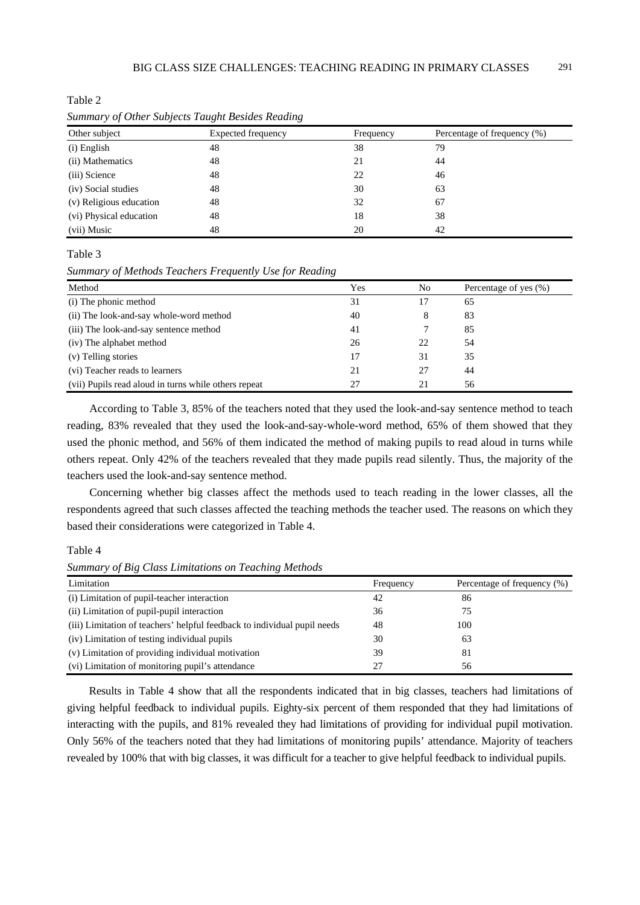Table 2

| Other subject           | <b>Expected frequency</b> | Frequency | Percentage of frequency (%) |
|-------------------------|---------------------------|-----------|-----------------------------|
| (i) English             | 48                        | 38        | 79                          |
| (ii) Mathematics        | 48                        | 21        | 44                          |
| (iii) Science           | 48                        | 22        | 46                          |
| (iv) Social studies     | 48                        | 30        | 63                          |
| (v) Religious education | 48                        | 32        | 67                          |
| (vi) Physical education | 48                        | 18        | 38                          |
| (vii) Music             | 48                        | 20        | 42                          |

*Summary of Other Subjects Taught Besides Reading* 

Table 3

*Summary of Methods Teachers Frequently Use for Reading* 

| Method                                               | Yes | No | Percentage of yes (%) |
|------------------------------------------------------|-----|----|-----------------------|
| (i) The phonic method                                | 31  |    | 65                    |
| (ii) The look-and-say whole-word method              | 40  | 8  | 83                    |
| (iii) The look-and-say sentence method               | 41  |    | 85                    |
| (iv) The alphabet method                             | 26  | 22 | 54                    |
| (v) Telling stories                                  | 17  | 31 | 35                    |
| (vi) Teacher reads to learners                       | 21  |    | 44                    |
| (vii) Pupils read aloud in turns while others repeat | 27  | 21 | 56                    |

According to Table 3, 85% of the teachers noted that they used the look-and-say sentence method to teach reading, 83% revealed that they used the look-and-say-whole-word method, 65% of them showed that they used the phonic method, and 56% of them indicated the method of making pupils to read aloud in turns while others repeat. Only 42% of the teachers revealed that they made pupils read silently. Thus, the majority of the teachers used the look-and-say sentence method.

Concerning whether big classes affect the methods used to teach reading in the lower classes, all the respondents agreed that such classes affected the teaching methods the teacher used. The reasons on which they based their considerations were categorized in Table 4.

Table 4

*Summary of Big Class Limitations on Teaching Methods* 

| Limitation                                                               | Frequency | Percentage of frequency (%) |
|--------------------------------------------------------------------------|-----------|-----------------------------|
| (i) Limitation of pupil-teacher interaction                              | 42        | 86                          |
| (ii) Limitation of pupil-pupil interaction                               | 36        | 75                          |
| (iii) Limitation of teachers' helpful feedback to individual pupil needs | 48        | 100                         |
| (iv) Limitation of testing individual pupils                             | 30        | 63                          |
| (v) Limitation of providing individual motivation                        | 39        | 81                          |
| (vi) Limitation of monitoring pupil's attendance                         | 27        | 56                          |

Results in Table 4 show that all the respondents indicated that in big classes, teachers had limitations of giving helpful feedback to individual pupils. Eighty-six percent of them responded that they had limitations of interacting with the pupils, and 81% revealed they had limitations of providing for individual pupil motivation. Only 56% of the teachers noted that they had limitations of monitoring pupils' attendance. Majority of teachers revealed by 100% that with big classes, it was difficult for a teacher to give helpful feedback to individual pupils.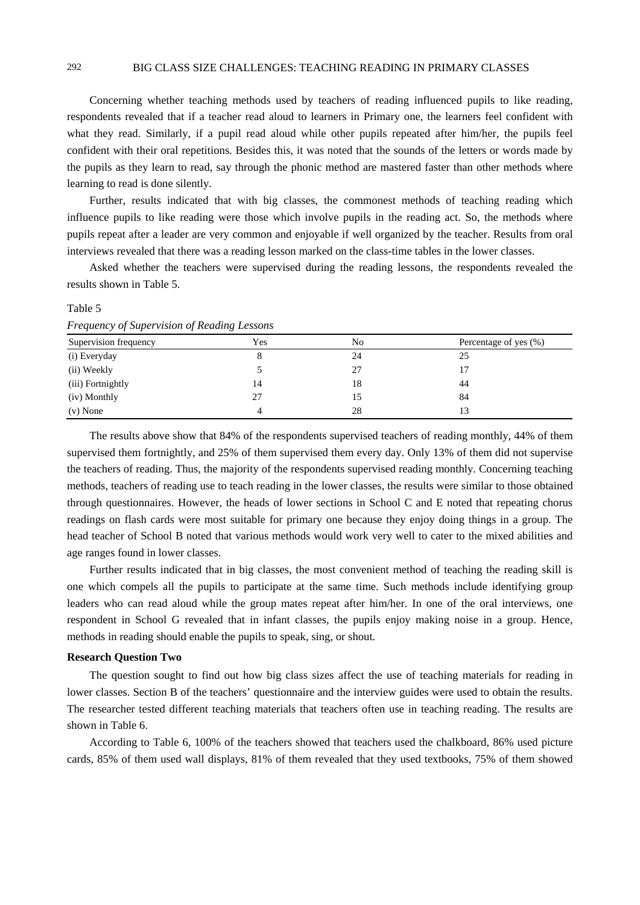# 292 BIG CLASS SIZE CHALLENGES: TEACHING READING IN PRIMARY CLASSES

Concerning whether teaching methods used by teachers of reading influenced pupils to like reading, respondents revealed that if a teacher read aloud to learners in Primary one, the learners feel confident with what they read. Similarly, if a pupil read aloud while other pupils repeated after him/her, the pupils feel confident with their oral repetitions. Besides this, it was noted that the sounds of the letters or words made by the pupils as they learn to read, say through the phonic method are mastered faster than other methods where learning to read is done silently.

Further, results indicated that with big classes, the commonest methods of teaching reading which influence pupils to like reading were those which involve pupils in the reading act. So, the methods where pupils repeat after a leader are very common and enjoyable if well organized by the teacher. Results from oral interviews revealed that there was a reading lesson marked on the class-time tables in the lower classes.

Asked whether the teachers were supervised during the reading lessons, the respondents revealed the results shown in Table 5.

| Frequency of Supervision of Reading Lessons |     |    |                       |
|---------------------------------------------|-----|----|-----------------------|
| Supervision frequency                       | Yes | No | Percentage of yes (%) |
| (i) Everyday                                | 8   | 24 | 25                    |
| (ii) Weekly                                 |     | 27 |                       |
| (iii) Fortnightly                           | 14  | 18 | 44                    |
| (iv) Monthly                                | 27  |    | 84                    |
| $(v)$ None                                  | 4   | 28 |                       |

*Frequency of Supervision of Reading Lessons* 

The results above show that 84% of the respondents supervised teachers of reading monthly, 44% of them supervised them fortnightly, and 25% of them supervised them every day. Only 13% of them did not supervise the teachers of reading. Thus, the majority of the respondents supervised reading monthly. Concerning teaching methods, teachers of reading use to teach reading in the lower classes, the results were similar to those obtained through questionnaires. However, the heads of lower sections in School C and E noted that repeating chorus readings on flash cards were most suitable for primary one because they enjoy doing things in a group. The head teacher of School B noted that various methods would work very well to cater to the mixed abilities and age ranges found in lower classes.

Further results indicated that in big classes, the most convenient method of teaching the reading skill is one which compels all the pupils to participate at the same time. Such methods include identifying group leaders who can read aloud while the group mates repeat after him/her. In one of the oral interviews, one respondent in School G revealed that in infant classes, the pupils enjoy making noise in a group. Hence, methods in reading should enable the pupils to speak, sing, or shout.

#### **Research Question Two**

The question sought to find out how big class sizes affect the use of teaching materials for reading in lower classes. Section B of the teachers' questionnaire and the interview guides were used to obtain the results. The researcher tested different teaching materials that teachers often use in teaching reading. The results are shown in Table 6.

According to Table 6, 100% of the teachers showed that teachers used the chalkboard, 86% used picture cards, 85% of them used wall displays, 81% of them revealed that they used textbooks, 75% of them showed

Table 5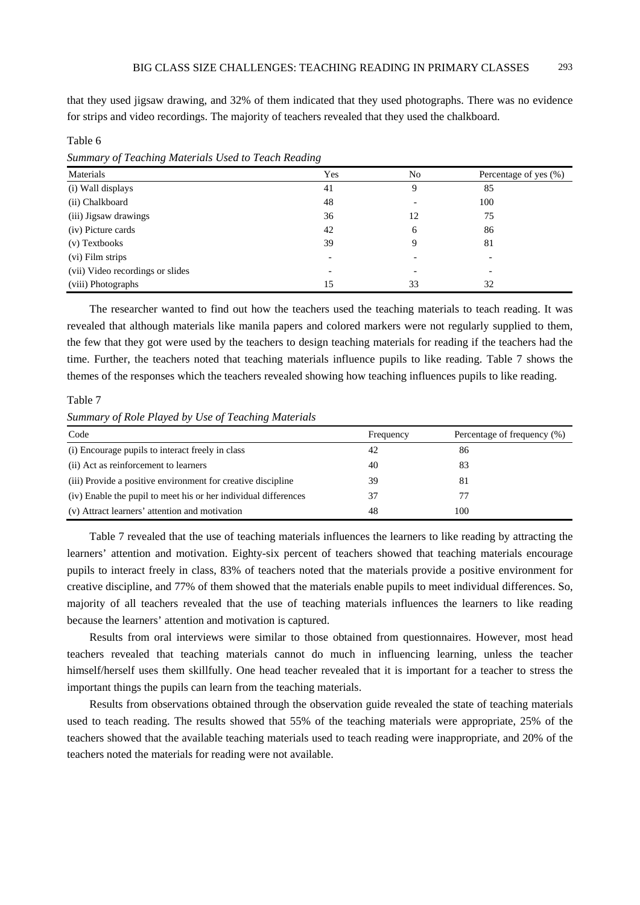that they used jigsaw drawing, and 32% of them indicated that they used photographs. There was no evidence for strips and video recordings. The majority of teachers revealed that they used the chalkboard.

Table 6

*Summary of Teaching Materials Used to Teach Reading* 

| Materials                        | Yes | N <sub>0</sub> | Percentage of yes (%) |
|----------------------------------|-----|----------------|-----------------------|
| (i) Wall displays                | 41  | 9              | 85                    |
| (ii) Chalkboard                  | 48  |                | 100                   |
| (iii) Jigsaw drawings            | 36  | 12             | 75                    |
| (iv) Picture cards               | 42  | 6              | 86                    |
| (v) Textbooks                    | 39  | 9              | 81                    |
| (vi) Film strips                 |     |                |                       |
| (vii) Video recordings or slides |     |                |                       |
| (viii) Photographs               | 15  | 33             | 32                    |

The researcher wanted to find out how the teachers used the teaching materials to teach reading. It was revealed that although materials like manila papers and colored markers were not regularly supplied to them, the few that they got were used by the teachers to design teaching materials for reading if the teachers had the time. Further, the teachers noted that teaching materials influence pupils to like reading. Table 7 shows the themes of the responses which the teachers revealed showing how teaching influences pupils to like reading.

Table 7

*Summary of Role Played by Use of Teaching Materials* 

| Code                                                            | Frequency | Percentage of frequency (%) |
|-----------------------------------------------------------------|-----------|-----------------------------|
| (i) Encourage pupils to interact freely in class                | 42        | 86                          |
| (ii) Act as reinforcement to learners                           | 40        | 83                          |
| (iii) Provide a positive environment for creative discipline    | 39        | 81                          |
| (iv) Enable the pupil to meet his or her individual differences | 37        |                             |
| (v) Attract learners' attention and motivation                  | 48        | 100                         |

Table 7 revealed that the use of teaching materials influences the learners to like reading by attracting the learners' attention and motivation. Eighty-six percent of teachers showed that teaching materials encourage pupils to interact freely in class, 83% of teachers noted that the materials provide a positive environment for creative discipline, and 77% of them showed that the materials enable pupils to meet individual differences. So, majority of all teachers revealed that the use of teaching materials influences the learners to like reading because the learners' attention and motivation is captured.

Results from oral interviews were similar to those obtained from questionnaires. However, most head teachers revealed that teaching materials cannot do much in influencing learning, unless the teacher himself/herself uses them skillfully. One head teacher revealed that it is important for a teacher to stress the important things the pupils can learn from the teaching materials.

Results from observations obtained through the observation guide revealed the state of teaching materials used to teach reading. The results showed that 55% of the teaching materials were appropriate, 25% of the teachers showed that the available teaching materials used to teach reading were inappropriate, and 20% of the teachers noted the materials for reading were not available.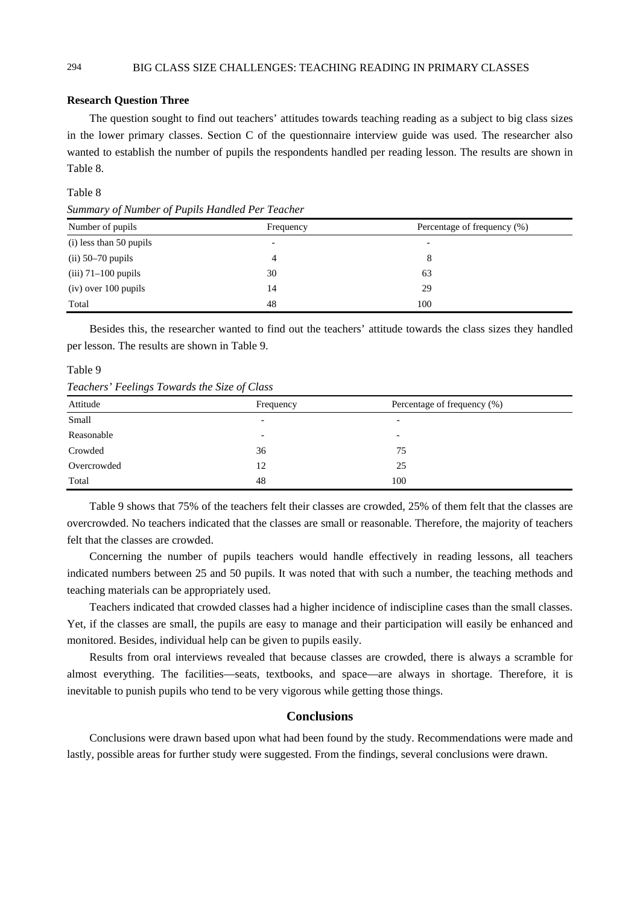# 294 BIG CLASS SIZE CHALLENGES: TEACHING READING IN PRIMARY CLASSES

# **Research Question Three**

The question sought to find out teachers' attitudes towards teaching reading as a subject to big class sizes in the lower primary classes. Section C of the questionnaire interview guide was used. The researcher also wanted to establish the number of pupils the respondents handled per reading lesson. The results are shown in Table 8.

# Table 8

*Summary of Number of Pupils Handled Per Teacher* 

| Number of pupils        | Frequency                | Percentage of frequency (%) |
|-------------------------|--------------------------|-----------------------------|
| (i) less than 50 pupils | $\overline{\phantom{a}}$ | $\overline{\phantom{a}}$    |
| $(ii)$ 50–70 pupils     | 4                        | 8                           |
| $(iii)$ 71–100 pupils   | 30                       | 63                          |
| $(iv)$ over 100 pupils  | 14                       | 29                          |
| Total                   | 48                       | 100                         |

Besides this, the researcher wanted to find out the teachers' attitude towards the class sizes they handled per lesson. The results are shown in Table 9.

#### Table 9

*Teachers' Feelings Towards the Size of Class* 

| Attitude    | Frequency | Percentage of frequency (%) |
|-------------|-----------|-----------------------------|
| Small       | -         | $\overline{\phantom{0}}$    |
| Reasonable  | -         | -                           |
| Crowded     | 36        | 75                          |
| Overcrowded | 12        | 25                          |
| Total       | 48        | 100                         |

Table 9 shows that 75% of the teachers felt their classes are crowded, 25% of them felt that the classes are overcrowded. No teachers indicated that the classes are small or reasonable. Therefore, the majority of teachers felt that the classes are crowded.

Concerning the number of pupils teachers would handle effectively in reading lessons, all teachers indicated numbers between 25 and 50 pupils. It was noted that with such a number, the teaching methods and teaching materials can be appropriately used.

Teachers indicated that crowded classes had a higher incidence of indiscipline cases than the small classes. Yet, if the classes are small, the pupils are easy to manage and their participation will easily be enhanced and monitored. Besides, individual help can be given to pupils easily.

Results from oral interviews revealed that because classes are crowded, there is always a scramble for almost everything. The facilities—seats, textbooks, and space—are always in shortage. Therefore, it is inevitable to punish pupils who tend to be very vigorous while getting those things.

# **Conclusions**

Conclusions were drawn based upon what had been found by the study. Recommendations were made and lastly, possible areas for further study were suggested. From the findings, several conclusions were drawn.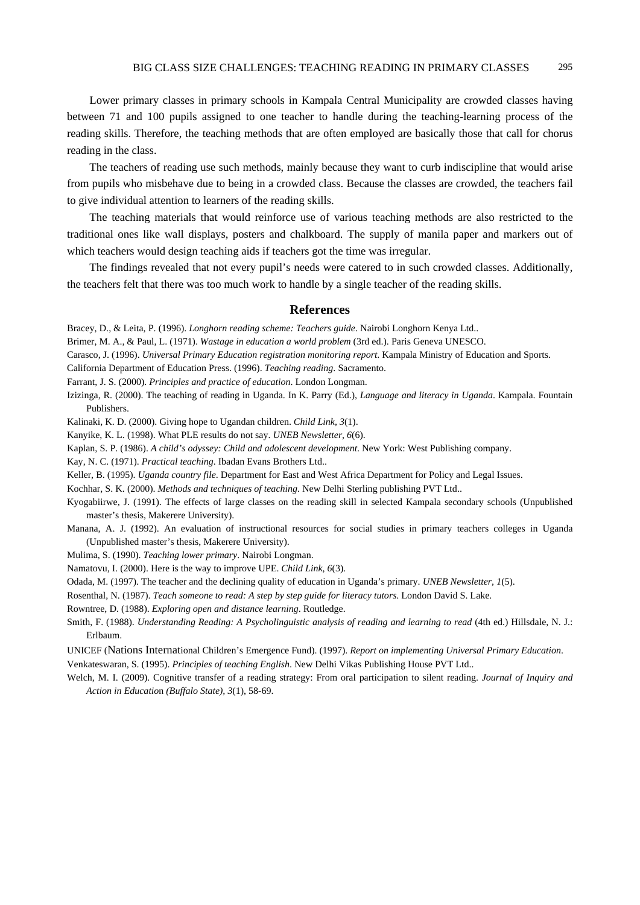Lower primary classes in primary schools in Kampala Central Municipality are crowded classes having between 71 and 100 pupils assigned to one teacher to handle during the teaching-learning process of the reading skills. Therefore, the teaching methods that are often employed are basically those that call for chorus reading in the class.

The teachers of reading use such methods, mainly because they want to curb indiscipline that would arise from pupils who misbehave due to being in a crowded class. Because the classes are crowded, the teachers fail to give individual attention to learners of the reading skills.

The teaching materials that would reinforce use of various teaching methods are also restricted to the traditional ones like wall displays, posters and chalkboard. The supply of manila paper and markers out of which teachers would design teaching aids if teachers got the time was irregular.

The findings revealed that not every pupil's needs were catered to in such crowded classes. Additionally, the teachers felt that there was too much work to handle by a single teacher of the reading skills.

### **References**

Bracey, D., & Leita, P. (1996). *Longhorn reading scheme: Teachers guide*. Nairobi Longhorn Kenya Ltd..

Brimer, M. A., & Paul, L. (1971). *Wastage in education a world problem* (3rd ed.). Paris Geneva UNESCO.

- Carasco, J. (1996). *Universal Primary Education registration monitoring report*. Kampala Ministry of Education and Sports.
- California Department of Education Press. (1996). *Teaching reading*. Sacramento.
- Farrant, J. S. (2000). *Principles and practice of education*. London Longman.
- Izizinga, R. (2000). The teaching of reading in Uganda. In K. Parry (Ed.), *Language and literacy in Uganda*. Kampala. Fountain Publishers.

Kalinaki, K. D. (2000). Giving hope to Ugandan children. *Child Link, 3*(1).

Kanyike, K. L. (1998). What PLE results do not say. *UNEB Newsletter, 6*(6).

Kaplan, S. P. (1986). *A child's odyssey: Child and adolescent development*. New York: West Publishing company.

Kay, N. C. (1971). *Practical teaching*. Ibadan Evans Brothers Ltd..

Keller, B. (1995). *Uganda country file*. Department for East and West Africa Department for Policy and Legal Issues.

Kochhar, S. K. (2000). *Methods and techniques of teaching*. New Delhi Sterling publishing PVT Ltd..

Kyogabiirwe, J. (1991). The effects of large classes on the reading skill in selected Kampala secondary schools (Unpublished master's thesis, Makerere University).

Manana, A. J. (1992). An evaluation of instructional resources for social studies in primary teachers colleges in Uganda (Unpublished master's thesis, Makerere University).

Mulima, S. (1990). *Teaching lower primary*. Nairobi Longman.

Namatovu, I. (2000). Here is the way to improve UPE. *Child Link, 6*(3).

Odada, M. (1997). The teacher and the declining quality of education in Uganda's primary. *UNEB Newsletter, 1*(5).

Rosenthal, N. (1987). *Teach someone to read: A step by step guide for literacy tutors*. London David S. Lake.

Rowntree, D. (1988). *Exploring open and distance learning*. Routledge.

Smith, F. (1988). *Understanding Reading: A Psycholinguistic analysis of reading and learning to read* (4th ed.) Hillsdale, N. J.: Erlbaum.

UNICEF (Nations International Children's Emergence Fund). (1997). *Report on implementing Universal Primary Education*.

Venkateswaran, S. (1995). *Principles of teaching English*. New Delhi Vikas Publishing House PVT Ltd..

Welch, M. I. (2009). Cognitive transfer of a reading strategy: From oral participation to silent reading. *Journal of Inquiry and Action in Educatio*n *(Buffalo State), 3*(1), 58-69.